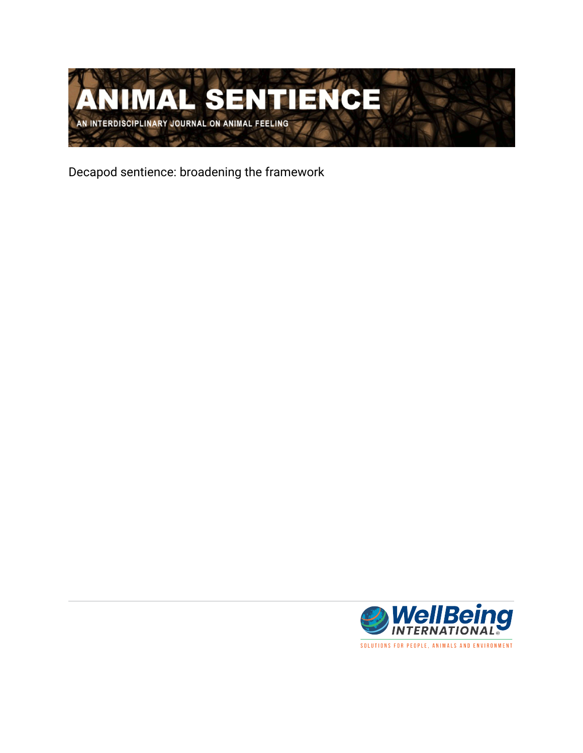

Decapod sentience: broadening the framework

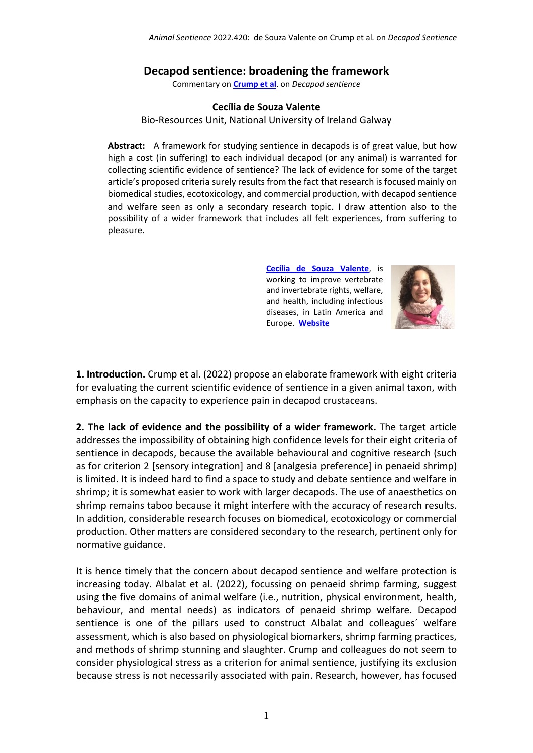## **Decapod sentience: broadening the framework**

Commentary on **[Crump et al](https://www.wellbeingintlstudiesrepository.org/animsent/vol7/iss32/1/)**. on *Decapod sentience*

## **Cecília de Souza Valente**

Bio-Resources Unit, National University of Ireland Galway

**Abstract:** A framework for studying sentience in decapods is of great value, but how high a cost (in suffering) to each individual decapod (or any animal) is warranted for collecting scientific evidence of sentience? The lack of evidence for some of the target article's proposed criteria surely results from the fact that research is focused mainly on biomedical studies, ecotoxicology, and commercial production, with decapod sentience and welfare seen as only a secondary research topic. I draw attention also to the possibility of a wider framework that includes all felt experiences, from suffering to pleasure.

> **[Cecília de Souza Valente](http://csouza.valente@gmail.com)**, is working to improve vertebrate and invertebrate rights, welfare, and health, including infectious diseases, in Latin America and Europe. **[Website](https://www.nuigalway.ie/our-research/people/natural-sciences/ceciliasouzavalente/)**



**1. Introduction.** Crump et al. (2022) propose an elaborate framework with eight criteria for evaluating the current scientific evidence of sentience in a given animal taxon, with emphasis on the capacity to experience pain in decapod crustaceans.

**2. The lack of evidence and the possibility of a wider framework.** The target article addresses the impossibility of obtaining high confidence levels for their eight criteria of sentience in decapods, because the available behavioural and cognitive research (such as for criterion 2 [sensory integration] and 8 [analgesia preference] in penaeid shrimp) is limited. It is indeed hard to find a space to study and debate sentience and welfare in shrimp; it is somewhat easier to work with larger decapods. The use of anaesthetics on shrimp remains taboo because it might interfere with the accuracy of research results. In addition, considerable research focuses on biomedical, ecotoxicology or commercial production. Other matters are considered secondary to the research, pertinent only for normative guidance.

It is hence timely that the concern about decapod sentience and welfare protection is increasing today. Albalat et al. (2022), focussing on penaeid shrimp farming, suggest using the five domains of animal welfare (i.e., nutrition, physical environment, health, behaviour, and mental needs) as indicators of penaeid shrimp welfare. Decapod sentience is one of the pillars used to construct Albalat and colleagues´ welfare assessment, which is also based on physiological biomarkers, shrimp farming practices, and methods of shrimp stunning and slaughter. Crump and colleagues do not seem to consider physiological stress as a criterion for animal sentience, justifying its exclusion because stress is not necessarily associated with pain. Research, however, has focused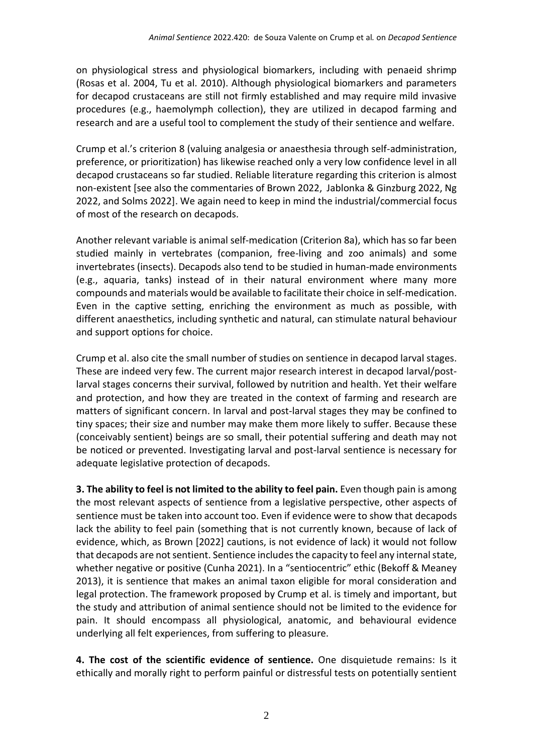on physiological stress and physiological biomarkers, including with penaeid shrimp (Rosas et al. 2004, Tu et al. 2010). Although physiological biomarkers and parameters for decapod crustaceans are still not firmly established and may require mild invasive procedures (e.g., haemolymph collection), they are utilized in decapod farming and research and are a useful tool to complement the study of their sentience and welfare.

Crump et al.'s criterion 8 (valuing analgesia or anaesthesia through self-administration, preference, or prioritization) has likewise reached only a very low confidence level in all decapod crustaceans so far studied. Reliable literature regarding this criterion is almost non-existent [see also the commentaries of Brown 2022, Jablonka & Ginzburg 2022, Ng 2022, and Solms 2022]. We again need to keep in mind the industrial/commercial focus of most of the research on decapods.

Another relevant variable is animal self-medication (Criterion 8a), which has so far been studied mainly in vertebrates (companion, free-living and zoo animals) and some invertebrates (insects). Decapods also tend to be studied in human-made environments (e.g., aquaria, tanks) instead of in their natural environment where many more compounds and materials would be available to facilitate their choice in self-medication. Even in the captive setting, enriching the environment as much as possible, with different anaesthetics, including synthetic and natural, can stimulate natural behaviour and support options for choice.

Crump et al. also cite the small number of studies on sentience in decapod larval stages. These are indeed very few. The current major research interest in decapod larval/postlarval stages concerns their survival, followed by nutrition and health. Yet their welfare and protection, and how they are treated in the context of farming and research are matters of significant concern. In larval and post-larval stages they may be confined to tiny spaces; their size and number may make them more likely to suffer. Because these (conceivably sentient) beings are so small, their potential suffering and death may not be noticed or prevented. Investigating larval and post-larval sentience is necessary for adequate legislative protection of decapods.

**3. The ability to feel is not limited to the ability to feel pain.** Even though pain is among the most relevant aspects of sentience from a legislative perspective, other aspects of sentience must be taken into account too. Even if evidence were to show that decapods lack the ability to feel pain (something that is not currently known, because of lack of evidence, which, as Brown [2022] cautions, is not evidence of lack) it would not follow that decapods are not sentient. Sentience includes the capacity to feel any internal state, whether negative or positive (Cunha 2021). In a "sentiocentric" ethic (Bekoff & Meaney 2013), it is sentience that makes an animal taxon eligible for moral consideration and legal protection. The framework proposed by Crump et al. is timely and important, but the study and attribution of animal sentience should not be limited to the evidence for pain. It should encompass all physiological, anatomic, and behavioural evidence underlying all felt experiences, from suffering to pleasure.

**4. The cost of the scientific evidence of sentience.** One disquietude remains: Is it ethically and morally right to perform painful or distressful tests on potentially sentient